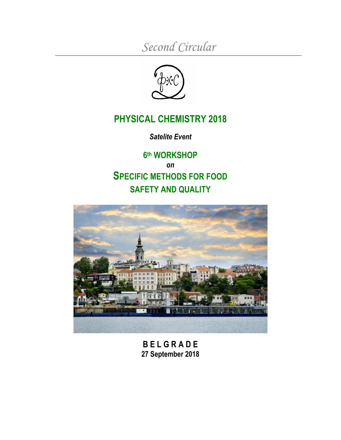*Second Circular*



## **PHYSICAL CHEMISTRY 2018**

*Satelite Event*

**6 th WORKSHOP** *on* **SPECIFIC METHODS FOR FOOD SAFETY AND QUALITY**



**B E L G R A D E 27 September 2018**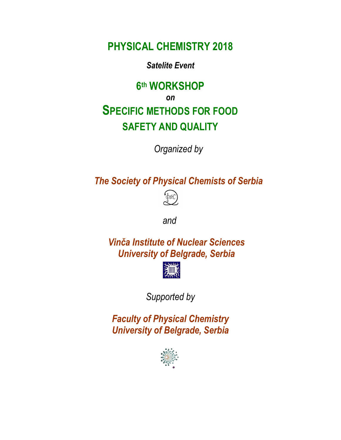**PHYSICAL CHEMISTRY 2018**

*Satelite Event*

# **6 th WORKSHOP** *on* **SPECIFIC METHODS FOR FOOD SAFETY AND QUALITY**

*Organized by*

*The Society of Physical Chemists of Serbia*



*and*

*Vinča Institute of Nuclear Sciences University of Belgrade, Serbia*



*Supported by*

*Faculty of Physical Chemistry University of Belgrade, Serbia*

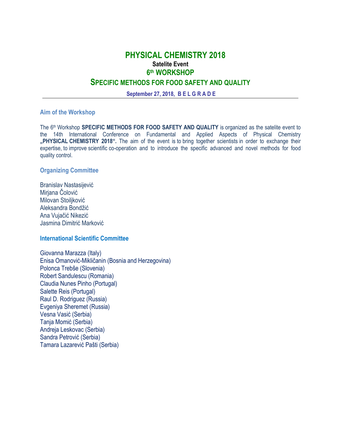**September 27, 2018, B E L G R A D E**

#### **Aim of the Workshop**

The 6 th Workshop **SPECIFIC METHODS FOR FOOD SAFETY AND QUALITY** is organized as the satelite event to the 14th International Conference on Fundamental and Applied Aspects of Physical Chemistry **"PHYSICAL CHEMISTRY 2018".** The aim of the event is to bring together scientists in order to exchange their expertise, to improve scientific co-operation and to introduce the specific advanced and novel methods for food quality control.

#### **Organizing Committee**

Branislav Nastasijević Mirjana Čolović Milovan Stoiliković Aleksandra Bondžić Ana Vujačić Nikezić Jasmina Dimitrić Marković

#### **International Scientific Committee**

Giovanna Marazza (Italy) Enisa Omanović-Mikličanin (Bosnia and Herzegovina) Polonca Trebše (Slovenia) Robert Sandulescu (Romania) Claudia Nunes Pinho (Portugal) Salette Reis (Portugal) Raul D. Rodriguez (Russia) Evgeniya Sheremet (Russia) Vesna Vasić (Serbia) Tanja Momić (Serbia) Andreja Leskovac (Serbia) Sandra Petrović (Serbia) Tamara Lazarević Pašti (Serbia)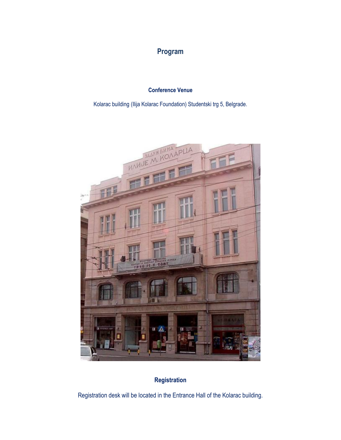## **Program**

#### **Conference Venue**

Kolarac building (Ilija Kolarac Foundation) Studentski trg 5, Belgrade.



## **Registration**

Registration desk will be located in the Entrance Hall of the Kolarac building.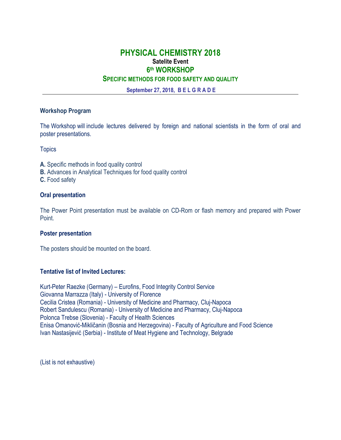### **PHYSICAL CHEMISTRY 2018 Satelite Event 6 th WORKSHOP**

#### **SPECIFIC METHODS FOR FOOD SAFETY AND QUALITY**

**September 27, 2018, B E L G R A D E**

#### **Workshop Program**

The Workshop will include lectures delivered by foreign and national scientists in the form of oral and poster presentations.

**Topics** 

- **A.** Specific methods in food quality control
- **B.** Advances in Analytical Techniques for food quality control

**C.** Food safety

#### **Oral presentation**

The Power Point presentation must be available on CD-Rom or flash memory and prepared with Power Point.

#### **Poster presentation**

The posters should be mounted on the board.

#### **Tentative list of Invited Lectures:**

Kurt-Peter Raezke (Germany) – Eurofins, Food Integrity Control Service Giovanna Marrazza (Italy) - [University](https://www.researchgate.net/institution/University_of_Florence) of Florence Cecilia Cristea (Romania) - University of Medicine and Pharmacy, Cluj-Napoca Robert Sandulescu (Romania) - University of Medicine and Pharmacy, Cluj-Napoca Polonca Trebse (Slovenia) - Faculty of Health Sciences Enisa Omanović-Mikličanin (Bosnia and Herzegovina) - Faculty of Agriculture and Food Science Ivan Nastasijević (Serbia) - Institute of Meat Hygiene and Technology, Belgrade

(List is not exhaustive)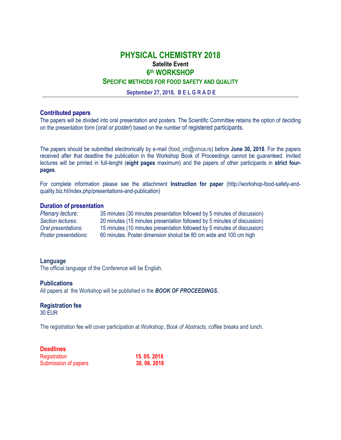**September 27, 2018, B E L G R A D E**

#### **Contributed papers**

The papers will be divided into oral presentation and posters. The Scientific Committee retains the option of deciding on the presentation form (*oral or poster*) based on the number of registered participants.

The papers should be submitted electronically by e-mail (food\_vin@vinca.rs) before **June 30, 2018**. For the papers received after that deadline the publication in the Workshop Book of Proceedings cannot be guaranteed. Invited lectures will be printed in full-lenght (**eight pages** maximum) and the papers of other participants in **strict fourpages**.

For complete information please see the attachment **Instruction for paper** (http://workshop-food-safety-andquality.biz.ht/index.php/presentations-and-publication)

#### **Duration of presentation**

| Plenary lecture:      | 35 minutes (30 minutes presentation followed by 5 minutes of discussion) |
|-----------------------|--------------------------------------------------------------------------|
| Section lectures:     | 20 minutes (15 minutes presentation followed by 5 minutes of discussion) |
| Oral presentations:   | 15 minutes (10 minutes presentation followed by 5 minutes of discussion) |
| Poster presentations: | 60 minutes. Poster dimension sholud be 80 cm wide and 100 cm high        |

#### **Language**

The official language of the Conference will be English.

#### **Publications**

All papers at the Workshop will be published in the *BOOK OF PROCEEDINGS***.** 

## **Registration fee**

30 EUR

The registration fee will cover participation at Workshop, *Book of Abstracts,* coffee breaks and lunch.

#### **Deadlines**

| Registration         | 15.05.2018. |  |
|----------------------|-------------|--|
| Submission of papers | 30.06.2018  |  |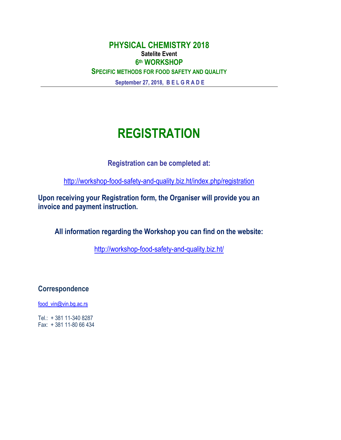**September 27, 2018, B E L G R A D E**

# **REGISTRATION**

**Registration can be completed at:**

<http://workshop-food-safety-and-quality.biz.ht/index.php/registration>

**Upon receiving your Registration form, the Organiser will provide you an invoice and payment instruction.**

**All information regarding the Workshop you can find on the website:**

<http://workshop-food-safety-and-quality.biz.ht/>

**Correspondence**

[food\\_vin@vin.bg.ac.rs](mailto:food_vin@vin.bg.ac.rs)

Tel.: + 381 11-340 8287 Fax: + 381 11-80 66 434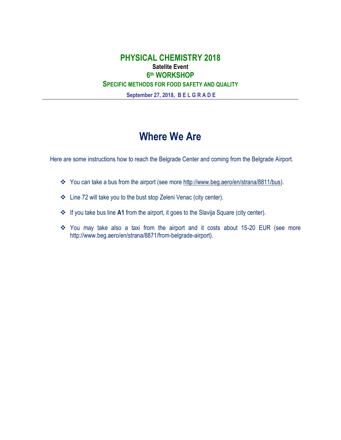**September 27, 2018, B E L G R A D E**

# **Where We Are**

Here are some instructions how to reach the Belgrade Center and coming from the Belgrade Airport.

- \* You can take a bus from the airport (see more [http://www.beg.aero/en/strana/8811/bus\)](http://www.beg.aero/en/strana/8811/bus).
- Line 72 will take you to the bust stop Zeleni Venac (city center).
- If you take bus line **A1** from the airport, it goes to the Slavija Square (city center).
- You may take also a taxi from the airport and it costs about 15-20 EUR (see more http://www.beg.aero/en/strana/8871/from-belgrade-airport).